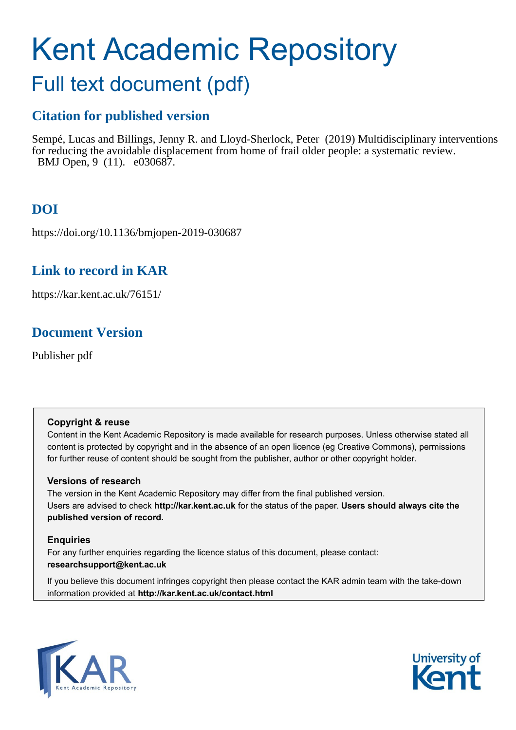# Kent Academic Repository

# Full text document (pdf)

## **Citation for published version**

Sempé, Lucas and Billings, Jenny R. and Lloyd-Sherlock, Peter (2019) Multidisciplinary interventions for reducing the avoidable displacement from home of frail older people: a systematic review. BMJ Open, 9 (11). e030687.

# **DOI**

https://doi.org/10.1136/bmjopen-2019-030687

### **Link to record in KAR**

https://kar.kent.ac.uk/76151/

# **Document Version**

Publisher pdf

#### **Copyright & reuse**

Content in the Kent Academic Repository is made available for research purposes. Unless otherwise stated all content is protected by copyright and in the absence of an open licence (eg Creative Commons), permissions for further reuse of content should be sought from the publisher, author or other copyright holder.

#### **Versions of research**

The version in the Kent Academic Repository may differ from the final published version. Users are advised to check **http://kar.kent.ac.uk** for the status of the paper. **Users should always cite the published version of record.**

#### **Enquiries**

For any further enquiries regarding the licence status of this document, please contact: **researchsupport@kent.ac.uk**

If you believe this document infringes copyright then please contact the KAR admin team with the take-down information provided at **http://kar.kent.ac.uk/contact.html**



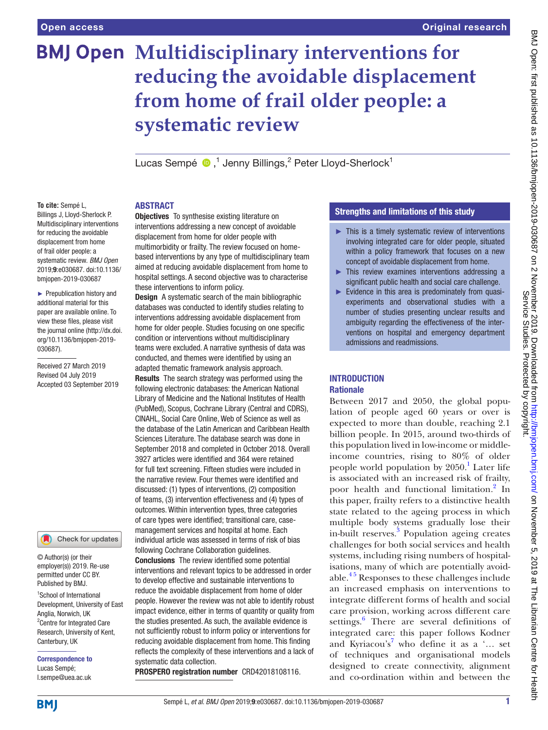# **BMJ Open Multidisciplinary interventions for reducing the avoidable displacement from home of frail older people: a systematic review**

LucasSempé <sup>®</sup>,<sup>1</sup> Jenny Billings,<sup>2</sup> Peter Lloyd-Sherlock<sup>1</sup>

#### ABSTRACT

**To cite:** Sempé L, Billings J, Lloyd-Sherlock P. Multidisciplinary interventions for reducing the avoidable displacement from home of frail older people: a systematic review. *BMJ Open* 2019;9:e030687. doi:10.1136/ bmjopen-2019-030687

► Prepublication history and additional material for this paper are available online. To view these files, please visit the journal online (http://dx.doi. org/10.1136/bmjopen-2019- 030687).

Received 27 March 2019 Revised 04 July 2019 Accepted 03 September 2019

Check for updates

© Author(s) (or their employer(s)) 2019. Re-use permitted under CC BY. Published by BMJ.

1 School of International Development, University of East Anglia, Norwich, UK <sup>2</sup> Centre for Integrated Care Research, University of Kent, Canterbury, UK

Correspondence to Lucas Sempé; l.sempe@uea.ac.uk

**Objectives** To synthesise existing literature on interventions addressing a new concept of avoidable displacement from home for older people with multimorbidity or frailty. The review focused on homebased interventions by any type of multidisciplinary team aimed at reducing avoidable displacement from home to hospital settings. A second objective was to characterise these interventions to inform policy.

**Design** A systematic search of the main bibliographic databases was conducted to identify studies relating to interventions addressing avoidable displacement from home for older people. Studies focusing on one specific condition or interventions without multidisciplinary teams were excluded. A narrative synthesis of data was conducted, and themes were identified by using an adapted thematic framework analysis approach. Results The search strategy was performed using the following electronic databases: the American National Library of Medicine and the National Institutes of Health (PubMed), Scopus, Cochrane Library (Central and CDRS), CINAHL, Social Care Online, Web of Science as well as the database of the Latin American and Caribbean Health Sciences Literature. The database search was done in September 2018 and completed in October 2018. Overall 3927 articles were identified and 364 were retained for full text screening. Fifteen studies were included in the narrative review. Four themes were identified and discussed: (1) types of interventions, (2) composition of teams, (3) intervention effectiveness and (4) types of outcomes. Within intervention types, three categories of care types were identified; transitional care, casemanagement services and hospital at home. Each individual article was assessed in terms of risk of bias following Cochrane Collaboration guidelines. Conclusions The review identified some potential interventions and relevant topics to be addressed in order to develop effective and sustainable interventions to reduce the avoidable displacement from home of older people. However the review was not able to identify robust impact evidence, either in terms of quantity or quality from the studies presented. As such, the available evidence is not sufficiently robust to inform policy or interventions for reducing avoidable displacement from home. This finding reflects the complexity of these interventions and a lack of systematic data collection.

PROSPERO registration number CRD42018108116.

#### Strengths and limitations of this study

- ► This is a timely systematic review of interventions involving integrated care for older people, situated within a policy framework that focuses on a new concept of avoidable displacement from home.
- ► This review examines interventions addressing a significant public health and social care challenge.
- $\blacktriangleright$  Evidence in this area is predominately from quasiexperiments and observational studies with a number of studies presenting unclear results and ambiguity regarding the effectiveness of the interventions on hospital and emergency department admissions and readmissions.

#### **INTRODUCTION Rationale**

Between 2017 and 2050, the global population of people aged 60 years or over is expected to more than double, reaching 2.1 billion people. In 2015, around two-thirds of this population lived in low-income or middleincome countries, rising to 80% of older people world population by  $2050$ .<sup>1</sup> Later life is associated with an increased risk of frailty, poor health and functional limitation.<sup>2</sup> In this paper, frailty refers to a distinctive health state related to the ageing process in which multiple body systems gradually lose their in-built reserves.<sup>3</sup> Population ageing creates challenges for both social services and health systems, including rising numbers of hospitalisations, many of which are potentially avoidable.<sup>45</sup> Responses to these challenges include an increased emphasis on interventions to integrate different forms of health and social care provision, working across different care settings.<sup>6</sup> There are several definitions of integrated care: this paper follows Kodner and Kyriacou's<sup>7</sup> who define it as a '... set of techniques and organisational models designed to create connectivity, alignment and co-ordination within and between the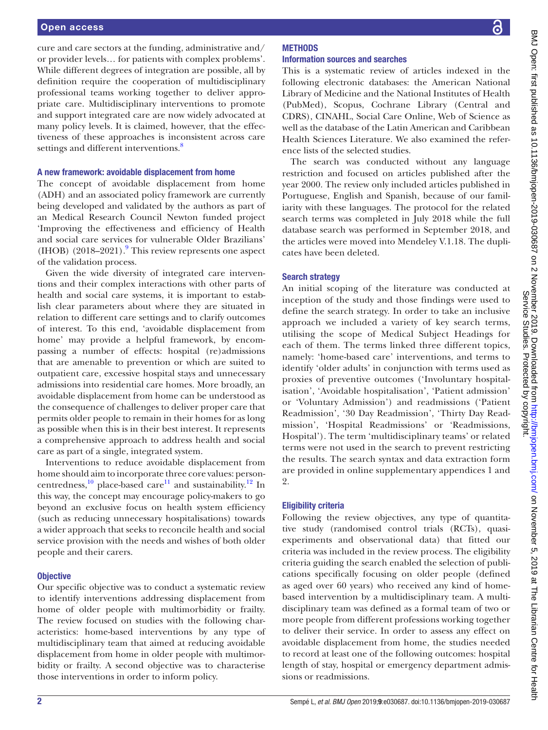cure and care sectors at the funding, administrative and/ or provider levels… for patients with complex problems'. While different degrees of integration are possible, all by definition require the cooperation of multidisciplinary professional teams working together to deliver appropriate care. Multidisciplinary interventions to promote and support integrated care are now widely advocated at many policy levels. It is claimed, however, that the effectiveness of these approaches is inconsistent across care settings and different interventions.<sup>8</sup>

#### A new framework: avoidable displacement from home

The concept of avoidable displacement from home (ADH) and an associated policy framework are currently being developed and validated by the authors as part of an Medical Research Council Newton funded project 'Improving the effectiveness and efficiency of Health and social care services for vulnerable Older Brazilians'  $(HOB)$  (2018–2021).<sup>9</sup> This review represents one aspect of the validation process.

Given the wide diversity of integrated care interventions and their complex interactions with other parts of health and social care systems, it is important to establish clear parameters about where they are situated in relation to different care settings and to clarify outcomes of interest. To this end, 'avoidable displacement from home' may provide a helpful framework, by encompassing a number of effects: hospital (re)admissions that are amenable to prevention or which are suited to outpatient care, excessive hospital stays and unnecessary admissions into residential care homes. More broadly, an avoidable displacement from home can be understood as the consequence of challenges to deliver proper care that permits older people to remain in their homes for as long as possible when this is in their best interest. It represents a comprehensive approach to address health and social care as part of a single, integrated system.

Interventions to reduce avoidable displacement from home should aim to incorporate three core values: personcentredness,<sup>10</sup> place-based care<sup>11</sup> and sustainability.<sup>12</sup> In this way, the concept may encourage policy-makers to go beyond an exclusive focus on health system efficiency (such as reducing unnecessary hospitalisations) towards a wider approach that seeks to reconcile health and social service provision with the needs and wishes of both older people and their carers.

#### **Objective**

Our specific objective was to conduct a systematic review to identify interventions addressing displacement from home of older people with multimorbidity or frailty. The review focused on studies with the following characteristics: home-based interventions by any type of multidisciplinary team that aimed at reducing avoidable displacement from home in older people with multimorbidity or frailty. A second objective was to characterise those interventions in order to inform policy.

#### **METHODS**

#### Information sources and searches

This is a systematic review of articles indexed in the following electronic databases: the American National Library of Medicine and the National Institutes of Health (PubMed), Scopus, Cochrane Library (Central and CDRS), CINAHL, Social Care Online, Web of Science as well as the database of the Latin American and Caribbean Health Sciences Literature. We also examined the reference lists of the selected studies.

The search was conducted without any language restriction and focused on articles published after the year 2000. The review only included articles published in Portuguese, English and Spanish, because of our familiarity with these languages. The protocol for the related search terms was completed in July 2018 while the full database search was performed in September 2018, and the articles were moved into Mendeley V.1.18. The duplicates have been deleted.

#### Search strategy

An initial scoping of the literature was conducted at inception of the study and those findings were used to define the search strategy. In order to take an inclusive approach we included a variety of key search terms, utilising the scope of Medical Subject Headings for each of them. The terms linked three different topics, namely: 'home-based care' interventions, and terms to identify 'older adults' in conjunction with terms used as proxies of preventive outcomes ('Involuntary hospitalisation', 'Avoidable hospitalisation', 'Patient admission' or 'Voluntary Admission') and readmissions ('Patient Readmission', '30 Day Readmission', 'Thirty Day Readmission', 'Hospital Readmissions' or 'Readmissions, Hospital'). The term 'multidisciplinary teams' or related terms were not used in the search to prevent restricting the results. The search syntax and data extraction form are provided in [online supplementary appendices 1 and](https://dx.doi.org/10.1136/bmjopen-2019-030687)  [2](https://dx.doi.org/10.1136/bmjopen-2019-030687).

#### Eligibility criteria

Following the review objectives, any type of quantitative study (randomised control trials (RCTs), quasiexperiments and observational data) that fitted our criteria was included in the review process. The eligibility criteria guiding the search enabled the selection of publications specifically focusing on older people (defined as aged over 60 years) who received any kind of homebased intervention by a multidisciplinary team. A multidisciplinary team was defined as a formal team of two or more people from different professions working together to deliver their service. In order to assess any effect on avoidable displacement from home, the studies needed to record at least one of the following outcomes: hospital length of stay, hospital or emergency department admissions or readmissions.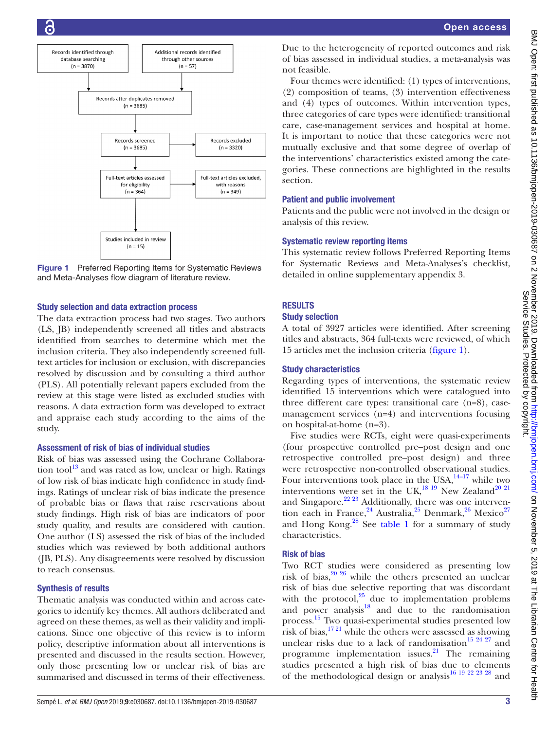

Figure 1 Preferred Reporting Items for Systematic Reviews and Meta-Analyses flow diagram of literature review.

#### Study selection and data extraction process

The data extraction process had two stages. Two authors (LS, JB) independently screened all titles and abstracts identified from searches to determine which met the inclusion criteria. They also independently screened fulltext articles for inclusion or exclusion, with discrepancies resolved by discussion and by consulting a third author (PLS). All potentially relevant papers excluded from the review at this stage were listed as excluded studies with reasons. A data extraction form was developed to extract and appraise each study according to the aims of the study.

#### Assessment of risk of bias of individual studies

Risk of bias was assessed using the Cochrane Collaboration tool $^{13}$  and was rated as low, unclear or high. Ratings of low risk of bias indicate high confidence in study findings. Ratings of unclear risk of bias indicate the presence of probable bias or flaws that raise reservations about study findings. High risk of bias are indicators of poor study quality, and results are considered with caution. One author (LS) assessed the risk of bias of the included studies which was reviewed by both additional authors (JB, PLS). Any disagreements were resolved by discussion to reach consensus.

#### Synthesis of results

Thematic analysis was conducted within and across categories to identify key themes. All authors deliberated and agreed on these themes, as well as their validity and implications. Since one objective of this review is to inform policy, descriptive information about all interventions is presented and discussed in the results section. However, only those presenting low or unclear risk of bias are summarised and discussed in terms of their effectiveness.

Due to the heterogeneity of reported outcomes and risk of bias assessed in individual studies, a meta-analysis was not feasible.

Four themes were identified: (1) types of interventions, (2) composition of teams, (3) intervention effectiveness and (4) types of outcomes. Within intervention types, three categories of care types were identified: transitional care, case-management services and hospital at home. It is important to notice that these categories were not mutually exclusive and that some degree of overlap of the interventions' characteristics existed among the categories. These connections are highlighted in the results section.

#### Patient and public involvement

Patients and the public were not involved in the design or analysis of this review.

#### Systematic review reporting items

This systematic review follows Preferred Reporting Items for Systematic Reviews and Meta-Analyses's checklist, detailed in [online supplementary appendix 3](https://dx.doi.org/10.1136/bmjopen-2019-030687).

#### **RESULTS**

#### Study selection

A total of 3927 articles were identified. After screening titles and abstracts, 364 full-texts were reviewed, of which 15 articles met the inclusion criteria (figure 1).

#### Study characteristics

Regarding types of interventions, the systematic review identified 15 interventions which were catalogued into three different care types: transitional care (n=8), casemanagement services (n=4) and interventions focusing on hospital-at-home (n=3).

Five studies were RCTs, eight were quasi-experiments (four prospective controlled pre–post design and one retrospective controlled pre–post design) and three were retrospective non-controlled observational studies. Four interventions took place in the USA, $14-17$  while two interventions were set in the UK,<sup>18 19</sup> New Zealand<sup>20 21</sup> and Singapore.<sup>22 23</sup> Additionally, there was one intervention each in France,<sup>24</sup> Australia,<sup>25</sup> Denmark,<sup>26</sup> Mexico<sup>27</sup> and Hong Kong. $^{28}$  See table 1 for a summary of study characteristics.

#### Risk of bias

Two RCT studies were considered as presenting low risk of bias, $20^{20}$  while the others presented an unclear risk of bias due selective reporting that was discordant with the protocol, $25$  due to implementation problems and power analysis<sup>18</sup> and due to the randomisation process.<sup>15</sup> Two quasi-experimental studies presented low risk of bias, $\frac{1721}{21}$  while the others were assessed as showing unclear risks due to a lack of randomisation<sup>15 24 27</sup> and programme implementation issues. $^{21}$  The remaining studies presented a high risk of bias due to elements of the methodological design or analysis<sup>16 19 22 23 28</sup> and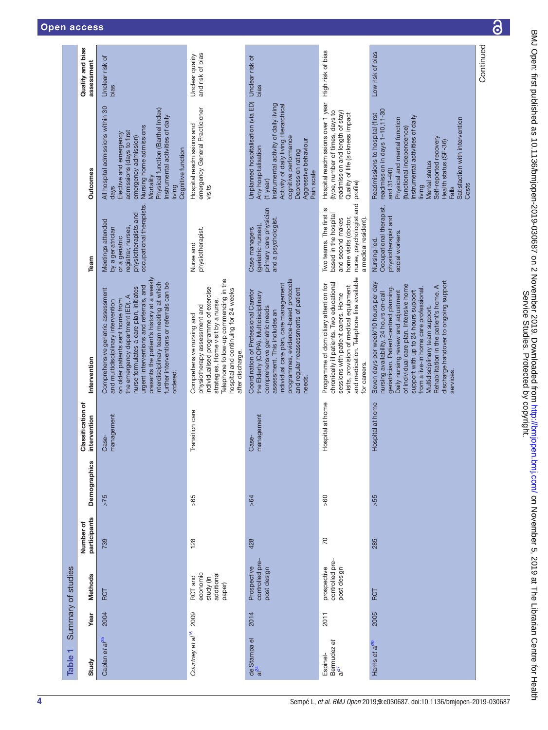| Quality and bias<br>Hospital readmissions over 1 year High risk of bias<br>Low risk of bias<br>and risk of bias<br>Unclear quality<br>Unclear risk of<br>Unclear risk of<br>assessment<br>bias<br>bias<br>Unplanned hospitalisation (via ED)<br>Activity of daily living Hierarchical<br>Instrumental activity of daily living<br>All hospital admissions within 30<br>emergency General Practicioner<br>Physical function (Barthel Index)<br>readmission in days 1-10,11-30<br>(type, number of times, days to<br>readmission and length of stay)<br>Quality of life (sickness impact<br>Readmissions to hospital (first<br>Instrumental activities of daily<br>Instrumental activities of daily<br>Satisfaction with intervention<br>Physical and mental function<br>Hospital readmissions and<br>Nursing home admissions<br>(functional independence)<br>admissions (days to first<br>Elective and emergency<br>cognitive performance<br>emergency admission)<br>Self-reported recovery<br>Aggressive behaviour<br>Health status (SF-36)<br>Any hospitalisation<br>Cognitive function<br>Depression rating<br><b>Mental status</b><br><b>Outcomes</b><br>and $31 - 90$<br>Pain scale<br>Mortality<br>$(1$ year)<br>profile)<br>Costs<br>living<br>visits<br>living<br>Falls<br>days<br>nurse, psychologist and<br>occupational therapists.<br>Occupational therapist,<br>primary care physician<br>Two teams. The first is<br>physiotherapists and<br>based in the hospital<br>physiotherapist and<br>social workers.<br>a medical resident).<br>home visits (doctor,<br>and a psychologist.<br>and second makes<br>Meetings attended<br>(geriatric nurses),<br>registrar, nurses,<br>by a geriatrician<br>physiotherapist.<br>Case managers<br>or a geriatric<br>Nursing-led.<br>Nurse and<br>Team<br>and medication. Telephone line available<br>presents the patient's history at a weekly<br>Telephone follow-up commencing in the<br>programmes, evidence-based protocols<br>discharge handover to ongoing support<br>interdisciplinary team meeting at which<br>further interventions or referrals can be<br>chronically ill patients. Two educational<br>Seven days per week/10 hours per day<br>individual care plan, care management<br>Programme of domiciliary attention for<br>of individual care plan. Intensive home<br>urgent interventions and referrals, and<br>Rehabilitation in the patient's home. A<br>visits, provision of medical equipment<br>from a live-in home care professional.<br>nurse formulates a care plan, initiates<br>individualised programme of exercise<br>geriatrician. Patient-centred planning.<br>hospital and continuing for 24 weeks<br>and regular reassessments of patient<br>Comprehensive geriatric assessment<br>Coordination of Professional Carefor<br>support with up to 24 hours support<br>Daily nursing review and adjustment<br>the Elderly (COPA). Multidisciplinary<br>nursing availability. 24 hours on-call<br>sessions with patient carers. Home<br>the emergency department (ED). A<br>strategies. Home visit by a nurse.<br>and multidisciplinary intervention<br>on older patients sent home from<br>physiotherapy assessment and<br>comprehensive geriatric needs<br>Multidisciplinary team support.<br>assessment. This includes an<br>Comprehensive nursing and<br>after discharge.<br>Intervention<br>for careers.<br>services.<br>ordered.<br>needs.<br>Hospital at home<br>Classification of<br>Hospital at home<br>Transition care<br>management<br>management<br>intervention<br>Case-<br>Case- |
|------------------------------------------------------------------------------------------------------------------------------------------------------------------------------------------------------------------------------------------------------------------------------------------------------------------------------------------------------------------------------------------------------------------------------------------------------------------------------------------------------------------------------------------------------------------------------------------------------------------------------------------------------------------------------------------------------------------------------------------------------------------------------------------------------------------------------------------------------------------------------------------------------------------------------------------------------------------------------------------------------------------------------------------------------------------------------------------------------------------------------------------------------------------------------------------------------------------------------------------------------------------------------------------------------------------------------------------------------------------------------------------------------------------------------------------------------------------------------------------------------------------------------------------------------------------------------------------------------------------------------------------------------------------------------------------------------------------------------------------------------------------------------------------------------------------------------------------------------------------------------------------------------------------------------------------------------------------------------------------------------------------------------------------------------------------------------------------------------------------------------------------------------------------------------------------------------------------------------------------------------------------------------------------------------------------------------------------------------------------------------------------------------------------------------------------------------------------------------------------------------------------------------------------------------------------------------------------------------------------------------------------------------------------------------------------------------------------------------------------------------------------------------------------------------------------------------------------------------------------------------------------------------------------------------------------------------------------------------------------------------------------------------------------------------------------------------------------------------------------------------------------------------------------------------------------------------------------------------------------------------------------------------------------------------------------------------------------------------------------------------------------------------------------------------------------------------------------------------------------------------------------------------------------------------------------------------|
|                                                                                                                                                                                                                                                                                                                                                                                                                                                                                                                                                                                                                                                                                                                                                                                                                                                                                                                                                                                                                                                                                                                                                                                                                                                                                                                                                                                                                                                                                                                                                                                                                                                                                                                                                                                                                                                                                                                                                                                                                                                                                                                                                                                                                                                                                                                                                                                                                                                                                                                                                                                                                                                                                                                                                                                                                                                                                                                                                                                                                                                                                                                                                                                                                                                                                                                                                                                                                                                                                                                                                                              |
|                                                                                                                                                                                                                                                                                                                                                                                                                                                                                                                                                                                                                                                                                                                                                                                                                                                                                                                                                                                                                                                                                                                                                                                                                                                                                                                                                                                                                                                                                                                                                                                                                                                                                                                                                                                                                                                                                                                                                                                                                                                                                                                                                                                                                                                                                                                                                                                                                                                                                                                                                                                                                                                                                                                                                                                                                                                                                                                                                                                                                                                                                                                                                                                                                                                                                                                                                                                                                                                                                                                                                                              |
|                                                                                                                                                                                                                                                                                                                                                                                                                                                                                                                                                                                                                                                                                                                                                                                                                                                                                                                                                                                                                                                                                                                                                                                                                                                                                                                                                                                                                                                                                                                                                                                                                                                                                                                                                                                                                                                                                                                                                                                                                                                                                                                                                                                                                                                                                                                                                                                                                                                                                                                                                                                                                                                                                                                                                                                                                                                                                                                                                                                                                                                                                                                                                                                                                                                                                                                                                                                                                                                                                                                                                                              |
|                                                                                                                                                                                                                                                                                                                                                                                                                                                                                                                                                                                                                                                                                                                                                                                                                                                                                                                                                                                                                                                                                                                                                                                                                                                                                                                                                                                                                                                                                                                                                                                                                                                                                                                                                                                                                                                                                                                                                                                                                                                                                                                                                                                                                                                                                                                                                                                                                                                                                                                                                                                                                                                                                                                                                                                                                                                                                                                                                                                                                                                                                                                                                                                                                                                                                                                                                                                                                                                                                                                                                                              |
|                                                                                                                                                                                                                                                                                                                                                                                                                                                                                                                                                                                                                                                                                                                                                                                                                                                                                                                                                                                                                                                                                                                                                                                                                                                                                                                                                                                                                                                                                                                                                                                                                                                                                                                                                                                                                                                                                                                                                                                                                                                                                                                                                                                                                                                                                                                                                                                                                                                                                                                                                                                                                                                                                                                                                                                                                                                                                                                                                                                                                                                                                                                                                                                                                                                                                                                                                                                                                                                                                                                                                                              |
|                                                                                                                                                                                                                                                                                                                                                                                                                                                                                                                                                                                                                                                                                                                                                                                                                                                                                                                                                                                                                                                                                                                                                                                                                                                                                                                                                                                                                                                                                                                                                                                                                                                                                                                                                                                                                                                                                                                                                                                                                                                                                                                                                                                                                                                                                                                                                                                                                                                                                                                                                                                                                                                                                                                                                                                                                                                                                                                                                                                                                                                                                                                                                                                                                                                                                                                                                                                                                                                                                                                                                                              |

Service Studies. Protected by copyright. BMJ Open: first published as 10.1136/bmjopen-2019-030687 on 2 November 2019. Downloaded from <http://bmjopen.bmj.com/> BMJ Open.bmj.com/ BMJ Open: first published from the Librarian Centre for

BMJ Open: first published as 10.1136/bmjopen-2019-030687 on 2 November 2019. Downloaded from http://bmjopen.bmj.com/ on November 5, 2019 at The Librarian Centre for Health<br>Service Section Service States Studies. Protected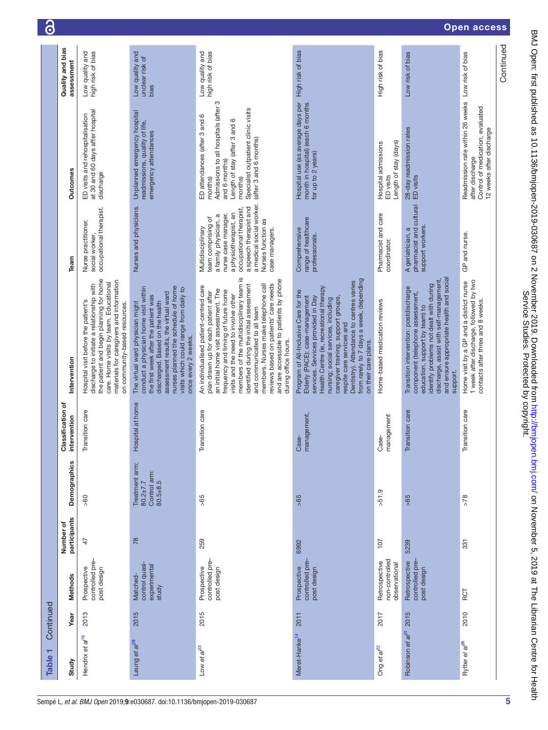| Ö         |                                          |                                                                                                                                                                                                                                                    |                                                                                                                                                                                                                                                                                                      |                                                                                                                                                                                                                                                                                                                                                                                                                                                                                   |                                                                                                                                                                                                                                                                                                                                                                                     |                                                           |                                                                                                                                                                                                                                                           | <b>Open access</b>                                                                                                                   |           |
|-----------|------------------------------------------|----------------------------------------------------------------------------------------------------------------------------------------------------------------------------------------------------------------------------------------------------|------------------------------------------------------------------------------------------------------------------------------------------------------------------------------------------------------------------------------------------------------------------------------------------------------|-----------------------------------------------------------------------------------------------------------------------------------------------------------------------------------------------------------------------------------------------------------------------------------------------------------------------------------------------------------------------------------------------------------------------------------------------------------------------------------|-------------------------------------------------------------------------------------------------------------------------------------------------------------------------------------------------------------------------------------------------------------------------------------------------------------------------------------------------------------------------------------|-----------------------------------------------------------|-----------------------------------------------------------------------------------------------------------------------------------------------------------------------------------------------------------------------------------------------------------|--------------------------------------------------------------------------------------------------------------------------------------|-----------|
|           | Quality and bias<br>assessment           | high risk of bias<br>Low quality and                                                                                                                                                                                                               | Low quality and<br>unclear risk of<br>bias                                                                                                                                                                                                                                                           | Low quality and<br>high risk of bias                                                                                                                                                                                                                                                                                                                                                                                                                                              | High risk of bias                                                                                                                                                                                                                                                                                                                                                                   | High risk of bias                                         | Low risk of bias                                                                                                                                                                                                                                          |                                                                                                                                      | Continued |
|           | <b>Outcomes</b>                          | at 30 and 60 days after hospital<br>ED visits and rehospitalisation<br>discharge                                                                                                                                                                   | Unplanned emergency hospital<br>readmissions, quality of life,<br>emergency attendances                                                                                                                                                                                                              | Admissions to all hospitals (after 3<br>Specialist outpatient clinic visits<br>ED attendances (after 3 and 6<br>Length of stay (after 3 and 6<br>(after 3 and 6 months)<br>and 6 months)<br>months)<br>month <sub>s</sub>                                                                                                                                                                                                                                                         | Hospital use (as average days per<br>month in hospital) (each 6 months<br>for up to 2 years)                                                                                                                                                                                                                                                                                        | Length of stay (days)<br>Hospital admissions<br>ED visits | 28-day readmission rates<br>ED visits                                                                                                                                                                                                                     | Readmission rate within 26 weeks Low risk of bias<br>Control of medication, evaluated<br>12 weeks after discharge<br>after discharge |           |
|           | Team                                     | occupational therapist.<br>Nurse practitioner,<br>social worker,                                                                                                                                                                                   | Nurses and physicians.                                                                                                                                                                                                                                                                               | a medical social worker.<br>a speech therapist and<br>occupational therapist,<br>a physiotherapist, an<br>nurse case manager,<br>a family physician, a<br>team comprising of<br>Nurses function as<br>Multidisciplinary<br>case managers.                                                                                                                                                                                                                                         | range of healthcare<br>Comprehensive<br>professionals.                                                                                                                                                                                                                                                                                                                              | Pharmacist and care<br>coordinator.                       | pharmacist and cultural<br>support workers.<br>A geriatrician, a                                                                                                                                                                                          | GP and nurse.                                                                                                                        |           |
|           | Intervention                             | the patient and begin planning for home<br>materials for caregivers and information<br>care. Home visits by team. Educational<br>discharge to initiate a relationship with<br>Hospital visit before the patient's<br>on community-based resources. | nurses planned the schedule of home<br>conduct a physician home visit within<br>visits which could range from daily to<br>assessment results, the virtual ward<br>the first week after the patient was<br>discharged. Based on the health<br>The virtual ward physician might<br>once every 2 weeks. | members of the multidisciplinary team is<br>and are accessible to patients by phone<br>members. Nurses make telephone call<br>reviews based on patients' care needs<br>identified during the initial assessment<br>An individualised patient-centred care<br>an initial home visit assessment. The<br>frequency and timing of future home<br>plan drawn up for each patient after<br>visits and the need to involve other<br>and communicated to all team<br>during office hours. | from rarely to 7 days a week, depending<br>Dentistry). Attendance to centres varies<br>Health Centre (ie, recreational therapy<br>Program of All-Inclusive Care for the<br>Elderly (PACE): case-management<br>services. Services provided in Day<br>caregiver training, support groups,<br>nursing; social services, including<br>respite care services and<br>on their care plans. | Home-based medication reviews                             | and ensure appropriate health and social<br>discharge, assist with self-management,<br>dentify problems not dealt with during<br>Transition intervention: postdischarge<br>component (telephone assessment,<br>education, support by team) to<br>support. | 1 week after discharge, followed by two<br>Home visit by a GP and a district nurse<br>contacts after three and 8 weeks.              |           |
|           | <b>Classification of</b><br>intervention | Transition care                                                                                                                                                                                                                                    | Hospital at home                                                                                                                                                                                                                                                                                     | Transition care                                                                                                                                                                                                                                                                                                                                                                                                                                                                   | management<br>Case-                                                                                                                                                                                                                                                                                                                                                                 | management<br>Case-                                       | Transition care                                                                                                                                                                                                                                           | Transition care                                                                                                                      |           |
|           | Demographics                             | 50 <sub>0</sub>                                                                                                                                                                                                                                    | Treatment arm:<br>Control arm:<br>$80.5 + 8.5$<br>$80.2 \pm 7.7$                                                                                                                                                                                                                                     | >65                                                                                                                                                                                                                                                                                                                                                                                                                                                                               | 59 <sup>6</sup>                                                                                                                                                                                                                                                                                                                                                                     | >51.9                                                     | >65                                                                                                                                                                                                                                                       | $>78$                                                                                                                                |           |
|           | participants<br>Number of                | 47                                                                                                                                                                                                                                                 | 78                                                                                                                                                                                                                                                                                                   | 259                                                                                                                                                                                                                                                                                                                                                                                                                                                                               | 6992                                                                                                                                                                                                                                                                                                                                                                                | 107                                                       | 5239                                                                                                                                                                                                                                                      | 331                                                                                                                                  |           |
|           | Methods                                  | controlled pre-<br>Prospective<br>post design                                                                                                                                                                                                      | control quasi-<br>experimental<br>Matched-<br>study                                                                                                                                                                                                                                                  | controlled pre-<br>Prospective<br>post design                                                                                                                                                                                                                                                                                                                                                                                                                                     | controlled pre-<br>Prospective<br>post design                                                                                                                                                                                                                                                                                                                                       | non-controlled<br>Retrospective<br>observational          | controlled pre-<br>Retrospective<br>post design                                                                                                                                                                                                           | RCT                                                                                                                                  |           |
| Continued | Year                                     | 2013                                                                                                                                                                                                                                               | 2015                                                                                                                                                                                                                                                                                                 | 2015                                                                                                                                                                                                                                                                                                                                                                                                                                                                              | 2011                                                                                                                                                                                                                                                                                                                                                                                | 2017                                                      | 2015                                                                                                                                                                                                                                                      | 2010                                                                                                                                 |           |
| Table 1   | Study                                    | Hendrix et al <sup>16</sup>                                                                                                                                                                                                                        | Leung et al <sup>28</sup>                                                                                                                                                                                                                                                                            | Low et $a^{23}$                                                                                                                                                                                                                                                                                                                                                                                                                                                                   | Meret-Hanke <sup>14</sup>                                                                                                                                                                                                                                                                                                                                                           | Ong et al <sup>22</sup>                                   | Robinson et al <sup>21</sup>                                                                                                                                                                                                                              | Rytter el al <sup>26</sup>                                                                                                           |           |

 $\Omega$ 

5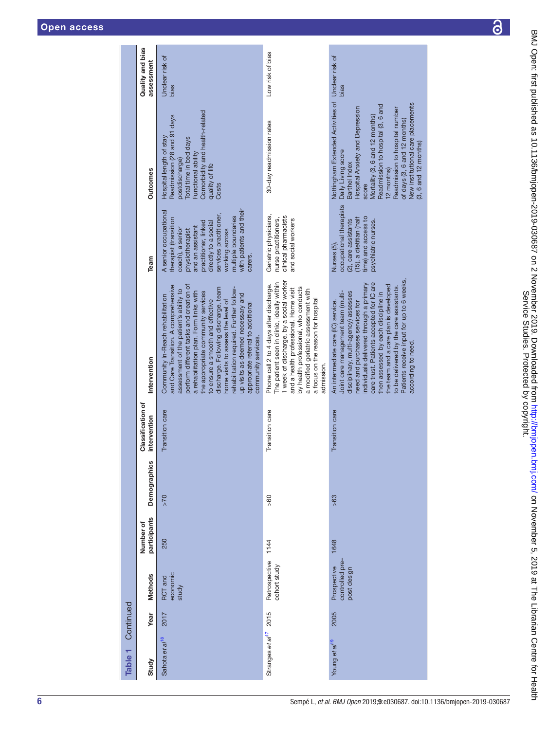| $\sum_{i=1}^{n}$<br><b>しょこごう コーン・ソフトウン アニー・コンフェミー</b><br>1<br>$\frac{1}{2}$ | בוואס העליוני הויטר המספרות המונח המונח המספר המספר במונח המספר בית המספר המספר המספר המספר המספר המספר המספר ה<br>November 2021 D<br>, , , , , , , , ,<br>ı<br>: |
|-----------------------------------------------------------------------------|-------------------------------------------------------------------------------------------------------------------------------------------------------------------|
|                                                                             |                                                                                                                                                                   |

| Low risk of bias<br>Unclear risk of<br>Nottingham Extended Activities of Unclear risk of<br>assessment<br>bias<br>bias<br>New institutional care placements<br>Readmission to hospital (3, 6 and<br>Hospital Anxiety and Depression<br>Readmission to hospital number<br>Comorbidity and health-related<br>Mortality (3, 6 and 12 months)<br>Readmission (28 and 91 days<br>of days (3, 6 and 12 months)<br>30-day readmission rates<br>Hospital length of stay<br>Total time in bed days<br>$(3, 6$ and 12 months)<br>Daily Living score<br>Functional ability<br>postdischarge)<br>Barthel Index<br>quality of life<br>12 months)<br><b>Outcomes</b><br>score<br>Costs<br>occupational therapists<br>with patients and their<br>A senior occupational<br>services practitioner,<br>Geriatric physicians,<br>multiple boundaries<br>clinical pharmacists<br>15), a dietitian (half<br>time) and access to<br>nurse practitioners,<br>and social workers<br>therapist (transition<br>(2), care assistants<br>osychiatric nurses.<br>practitioner, linked<br>directly to a social<br>and an assistant<br>coach), a senior<br>working across<br>physiotherapist<br>Nurses (5),<br>carers.<br>Team<br>Patients receive input for up to 6 weeks,<br>1 week of discharge, by a social worker<br>The patient seen in clinic, ideally within<br>care trust. Patients accepted for IC are<br>individuals delivered through a primary<br>Phone call 2 to 4 days after discharge.<br>perform different tasks and creation of<br>and Care Transition. A comprehensive<br>the team and a care plan is developed<br>to be delivered by the care assistants.<br>by health professional, who conducts<br>ehabilitation required. Further follow-<br>and a health professional. Home visit<br>discharge. Following discharge, team<br>assessment of the patient's ability to<br>a modified geriatric assessment with<br>a rehabilitation plan. Form links with<br>Joint care management team (multi-<br>the appropriate community services<br>disciplinary, multi-agency) assesses<br>then assessed by each discipline in<br>up visits as deemed necessary and<br>Community In-Reach rehabilitation<br>home visits to assess the level of<br>to ensure a smooth and effective<br>a focus on the reason for hospital<br>An intermediate care (IC) service.<br>need and purchases services for<br>appropriate referral to additional<br>community services.<br>according to need.<br>Intervention<br>admission.<br>Classification of<br>Transition care<br>Transition care<br>Transition care<br>intervention<br>Demographics<br>$\frac{8}{2}$<br>02<<br>>63<br>participants<br>Number of<br>250<br>1144<br>1648<br>Retrospective<br>controlled pre-<br>cohort study<br>Prospective<br>post design<br>economic<br>Methods<br>RCT and<br>study<br>2015<br>2017<br>2005<br>Year<br>Stranges et al <sup>17</sup><br>Sahota et al <sup>18</sup><br>Young et al <sup>19</sup><br>Study | Table <sub>1</sub> | Continued |  |  |  |                  |
|-----------------------------------------------------------------------------------------------------------------------------------------------------------------------------------------------------------------------------------------------------------------------------------------------------------------------------------------------------------------------------------------------------------------------------------------------------------------------------------------------------------------------------------------------------------------------------------------------------------------------------------------------------------------------------------------------------------------------------------------------------------------------------------------------------------------------------------------------------------------------------------------------------------------------------------------------------------------------------------------------------------------------------------------------------------------------------------------------------------------------------------------------------------------------------------------------------------------------------------------------------------------------------------------------------------------------------------------------------------------------------------------------------------------------------------------------------------------------------------------------------------------------------------------------------------------------------------------------------------------------------------------------------------------------------------------------------------------------------------------------------------------------------------------------------------------------------------------------------------------------------------------------------------------------------------------------------------------------------------------------------------------------------------------------------------------------------------------------------------------------------------------------------------------------------------------------------------------------------------------------------------------------------------------------------------------------------------------------------------------------------------------------------------------------------------------------------------------------------------------------------------------------------------------------------------------------------------------------------------------------------------------------------------------------------------------------------------------------------------------------------------------------------------------------------------------------------------------------------------------------------------------------------------------------------------------------------------------|--------------------|-----------|--|--|--|------------------|
|                                                                                                                                                                                                                                                                                                                                                                                                                                                                                                                                                                                                                                                                                                                                                                                                                                                                                                                                                                                                                                                                                                                                                                                                                                                                                                                                                                                                                                                                                                                                                                                                                                                                                                                                                                                                                                                                                                                                                                                                                                                                                                                                                                                                                                                                                                                                                                                                                                                                                                                                                                                                                                                                                                                                                                                                                                                                                                                                                                 |                    |           |  |  |  | Quality and bias |
|                                                                                                                                                                                                                                                                                                                                                                                                                                                                                                                                                                                                                                                                                                                                                                                                                                                                                                                                                                                                                                                                                                                                                                                                                                                                                                                                                                                                                                                                                                                                                                                                                                                                                                                                                                                                                                                                                                                                                                                                                                                                                                                                                                                                                                                                                                                                                                                                                                                                                                                                                                                                                                                                                                                                                                                                                                                                                                                                                                 |                    |           |  |  |  |                  |
|                                                                                                                                                                                                                                                                                                                                                                                                                                                                                                                                                                                                                                                                                                                                                                                                                                                                                                                                                                                                                                                                                                                                                                                                                                                                                                                                                                                                                                                                                                                                                                                                                                                                                                                                                                                                                                                                                                                                                                                                                                                                                                                                                                                                                                                                                                                                                                                                                                                                                                                                                                                                                                                                                                                                                                                                                                                                                                                                                                 |                    |           |  |  |  |                  |
|                                                                                                                                                                                                                                                                                                                                                                                                                                                                                                                                                                                                                                                                                                                                                                                                                                                                                                                                                                                                                                                                                                                                                                                                                                                                                                                                                                                                                                                                                                                                                                                                                                                                                                                                                                                                                                                                                                                                                                                                                                                                                                                                                                                                                                                                                                                                                                                                                                                                                                                                                                                                                                                                                                                                                                                                                                                                                                                                                                 |                    |           |  |  |  |                  |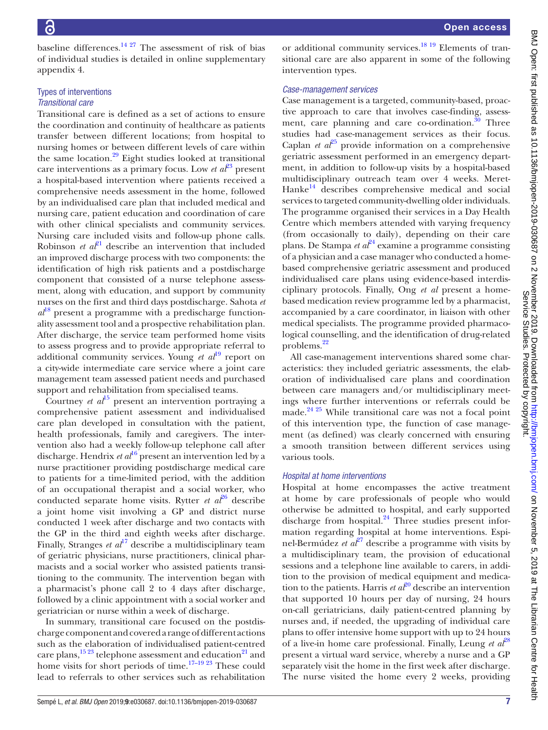baseline differences.<sup>14 27</sup> The assessment of risk of bias of individual studies is detailed in [online supplementary](https://dx.doi.org/10.1136/bmjopen-2019-030687) [appendix 4](https://dx.doi.org/10.1136/bmjopen-2019-030687).

#### Types of interventions

#### *Transitional care*

Transitional care is defined as a set of actions to ensure the coordination and continuity of healthcare as patients transfer between different locations; from hospital to nursing homes or between different levels of care within the same location.<sup>29</sup> Eight studies looked at transitional care interventions as a primary focus. Low *et*  $a^2$  present a hospital-based intervention where patients received a comprehensive needs assessment in the home, followed by an individualised care plan that included medical and nursing care, patient education and coordination of care with other clinical specialists and community services. Nursing care included visits and follow-up phone calls. Robinson *et al*<sup>21</sup> describe an intervention that included an improved discharge process with two components: the identification of high risk patients and a postdischarge component that consisted of a nurse telephone assessment, along with education, and support by community nurses on the first and third days postdischarge. Sahota *et*   $a^{18}$  present a programme with a predischarge functionality assessment tool and a prospective rehabilitation plan. After discharge, the service team performed home visits to assess progress and to provide appropriate referral to additional community services. Young *et al*<sup>19</sup> report on a city-wide intermediate care service where a joint care management team assessed patient needs and purchased support and rehabilitation from specialised teams.

Courtney *et al*<sup>15</sup> present an intervention portraying a comprehensive patient assessment and individualised care plan developed in consultation with the patient, health professionals, family and caregivers. The intervention also had a weekly follow-up telephone call after discharge. Hendrix *et al*<sup>16</sup> present an intervention led by a nurse practitioner providing postdischarge medical care to patients for a time-limited period, with the addition of an occupational therapist and a social worker, who conducted separate home visits. Rytter *et al*<sup>26</sup> describe a joint home visit involving a GP and district nurse conducted 1 week after discharge and two contacts with the GP in the third and eighth weeks after discharge. Finally, Stranges *et al*<sup>17</sup> describe a multidisciplinary team of geriatric physicians, nurse practitioners, clinical pharmacists and a social worker who assisted patients transitioning to the community. The intervention began with a pharmacist's phone call 2 to 4 days after discharge, followed by a clinic appointment with a social worker and geriatrician or nurse within a week of discharge.

In summary, transitional care focused on the postdischarge component and covered a range of different actions such as the elaboration of individualised patient-centred care plans, $15^{15\,23}$  telephone assessment and education<sup>21</sup> and home visits for short periods of time.<sup>17-19 23</sup> These could lead to referrals to other services such as rehabilitation

or additional community services.18 19 Elements of transitional care are also apparent in some of the following intervention types.

#### *Case-management services*

Case management is a targeted, community-based, proactive approach to care that involves case-finding, assessment, care planning and care co-ordination.<sup>30</sup> Three studies had case-management services as their focus. Caplan *et*  $a^{25}$  provide information on a comprehensive geriatric assessment performed in an emergency department, in addition to follow-up visits by a hospital-based multidisciplinary outreach team over 4 weeks. Meret-Hanke<sup>14</sup> describes comprehensive medical and social services to targeted community-dwelling older individuals. The programme organised their services in a Day Health Centre which members attended with varying frequency (from occasionally to daily), depending on their care plans. De Stampa *et al*<sup>24</sup> examine a programme consisting of a physician and a case manager who conducted a homebased comprehensive geriatric assessment and produced individualised care plans using evidence-based interdisciplinary protocols. Finally, Ong *et al* present a homebased medication review programme led by a pharmacist, accompanied by a care coordinator, in liaison with other medical specialists. The programme provided pharmacological counselling, and the identification of drug-related problems.22

All case-management interventions shared some characteristics: they included geriatric assessments, the elaboration of individualised care plans and coordination between care managers and/or multidisciplinary meetings where further interventions or referrals could be made. $^{24}$  <sup>25</sup> While transitional care was not a focal point of this intervention type, the function of case management (as defined) was clearly concerned with ensuring a smooth transition between different services using various tools.

#### *Hospital at home interventions*

Hospital at home encompasses the active treatment at home by care professionals of people who would otherwise be admitted to hospital, and early supported discharge from hospital.<sup>24</sup> Three studies present information regarding hospital at home interventions. Espinel-Bermúdez *et al*<sup>27</sup> describe a programme with visits by a multidisciplinary team, the provision of educational sessions and a telephone line available to carers, in addition to the provision of medical equipment and medication to the patients. Harris *et al*<sup>20</sup> describe an intervention that supported 10 hours per day of nursing, 24 hours on-call geriatricians, daily patient-centred planning by nurses and, if needed, the upgrading of individual care plans to offer intensive home support with up to 24 hours of a live-in home care professional. Finally, Leung *et al*<sup>28</sup> present a virtual ward service, whereby a nurse and a GP separately visit the home in the first week after discharge. The nurse visited the home every 2 weeks, providing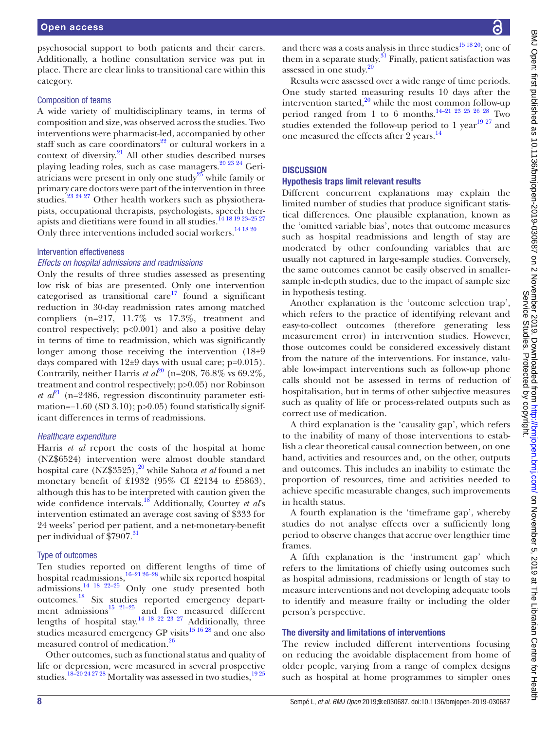psychosocial support to both patients and their carers. Additionally, a hotline consultation service was put in place. There are clear links to transitional care within this category.

#### Composition of teams

A wide variety of multidisciplinary teams, in terms of composition and size, was observed across the studies. Two interventions were pharmacist-led, accompanied by other staff such as care coordinators $^{22}$  or cultural workers in a context of diversity.21 All other studies described nurses playing leading roles, such as case managers.20 23 24 Geriatricians were present in only one study<sup>25</sup> while family or primary care doctors were part of the intervention in three studies.<sup>23 24 27</sup> Other health workers such as physiotherapists, occupational therapists, psychologists, speech therapists and dietitians were found in all studies.14 18 19 23–25 27 Only three interventions included social workers.<sup>1418 20</sup>

#### Intervention effectiveness

#### *Effects on hospital admissions and readmissions*

Only the results of three studies assessed as presenting low risk of bias are presented. Only one intervention categorised as transitional care<sup>17</sup> found a significant reduction in 30-day readmission rates among matched compliers (n=217, 11.7% vs 17.3%, treatment and control respectively;  $p<0.001$ ) and also a positive delay in terms of time to readmission, which was significantly longer among those receiving the intervention (18±9 days compared with  $12\pm9$  days with usual care; p=0.015). Contrarily, neither Harris *et al*<sup>20</sup> (n=208, 76.8% vs 69.2%, treatment and control respectively; p>0.05) nor Robinson *et al*<sup>21</sup> (n=2486, regression discontinuity parameter estimation=−1.60 (SD 3.10); p>0.05) found statistically significant differences in terms of readmissions.

#### *Healthcare expenditure*

Harris *et al* report the costs of the hospital at home (NZ\$6524) intervention were almost double standard hospital care (NZ\$3525),<sup>20</sup> while Sahota *et al* found a net monetary benefit of £1932 (95% CI £2134 to £5863), although this has to be interpreted with caution given the wide confidence intervals.18 Additionally, Courtey *et al*'s intervention estimated an average cost saving of \$333 for 24 weeks' period per patient, and a net-monetary-benefit per individual of \$7907.<sup>31</sup>

#### Type of outcomes

Ten studies reported on different lengths of time of hospital readmissions, $\frac{16-21}{26-28}$  while six reported hospital admissions.<sup>14 18 22–25</sup> Only one study presented both outcomes.<sup>18</sup> Six studies reported emergency department admissions<sup>15 21–25</sup> and five measured different lengths of hospital stay.<sup>14 18 22 23 27</sup> Additionally, three studies measured emergency GP visits<sup>15 16 28</sup> and one also measured control of medication.<sup>26</sup>

Other outcomes, such as functional status and quality of life or depression, were measured in several prospective studies.<sup>18–20 24 27 28</sup> Mortality was assessed in two studies,<sup>19 25</sup>

and there was a costs analysis in three studies<sup>15 18 20</sup>; one of them in a separate study.<sup>31</sup> Finally, patient satisfaction was assessed in one study. $20$ 

Results were assessed over a wide range of time periods. One study started measuring results 10 days after the intervention started, $20$  while the most common follow-up period ranged from 1 to 6 months.<sup>14–21</sup> <sup>23</sup> <sup>25</sup> <sup>26</sup> <sup>28</sup> Two studies extended the follow-up period to 1 year<sup>19 27</sup> and one measured the effects after 2 years.<sup>14</sup>

#### **DISCUSSION**

#### Hypothesis traps limit relevant results

Different concurrent explanations may explain the limited number of studies that produce significant statistical differences. One plausible explanation, known as the 'omitted variable bias', notes that outcome measures such as hospital readmissions and length of stay are moderated by other confounding variables that are usually not captured in large-sample studies. Conversely, the same outcomes cannot be easily observed in smallersample in-depth studies, due to the impact of sample size in hypothesis testing.

Another explanation is the 'outcome selection trap', which refers to the practice of identifying relevant and easy-to-collect outcomes (therefore generating less measurement error) in intervention studies. However, those outcomes could be considered excessively distant from the nature of the interventions. For instance, valuable low-impact interventions such as follow-up phone calls should not be assessed in terms of reduction of hospitalisation, but in terms of other subjective measures such as quality of life or process-related outputs such as correct use of medication.

A third explanation is the 'causality gap', which refers to the inability of many of those interventions to establish a clear theoretical causal connection between, on one hand, activities and resources and, on the other, outputs and outcomes. This includes an inability to estimate the proportion of resources, time and activities needed to achieve specific measurable changes, such improvements in health status.

A fourth explanation is the 'timeframe gap', whereby studies do not analyse effects over a sufficiently long period to observe changes that accrue over lengthier time frames.

A fifth explanation is the 'instrument gap' which refers to the limitations of chiefly using outcomes such as hospital admissions, readmissions or length of stay to measure interventions and not developing adequate tools to identify and measure frailty or including the older person's perspective.

#### The diversity and limitations of interventions

The review included different interventions focusing on reducing the avoidable displacement from home of older people, varying from a range of complex designs such as hospital at home programmes to simpler ones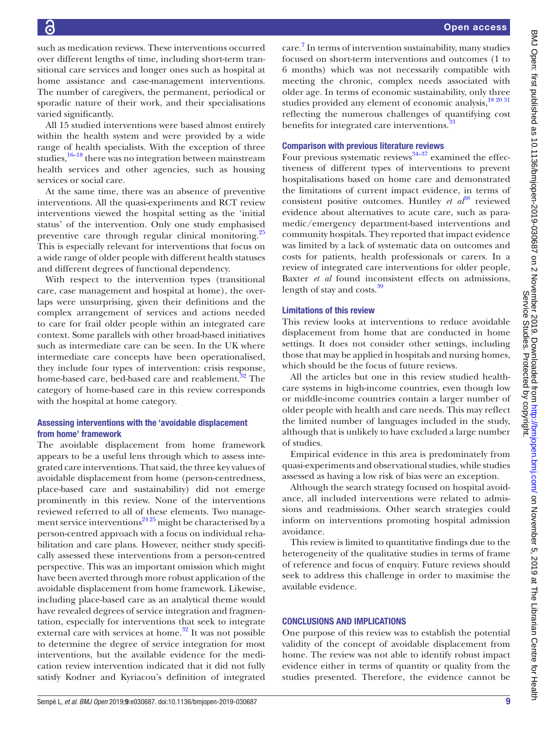All 15 studied interventions were based almost entirely within the health system and were provided by a wide range of health specialists. With the exception of three studies,<sup>16–18</sup> there was no integration between mainstream health services and other agencies, such as housing services or social care.

At the same time, there was an absence of preventive interventions. All the quasi-experiments and RCT review interventions viewed the hospital setting as the 'initial status' of the intervention. Only one study emphasised preventive care through regular clinical monitoring.<sup>25</sup> This is especially relevant for interventions that focus on a wide range of older people with different health statuses and different degrees of functional dependency.

With respect to the intervention types (transitional care, case management and hospital at home), the overlaps were unsurprising, given their definitions and the complex arrangement of services and actions needed to care for frail older people within an integrated care context. Some parallels with other broad-based initiatives such as intermediate care can be seen. In the UK where intermediate care concepts have been operationalised, they include four types of intervention: crisis response, home-based care, bed-based care and reablement.<sup>32</sup> The category of home-based care in this review corresponds with the hospital at home category.

#### Assessing interventions with the 'avoidable displacement from home' framework

The avoidable displacement from home framework appears to be a useful lens through which to assess integrated care interventions. That said, the three key values of avoidable displacement from home (person-centredness, place-based care and sustainability) did not emerge prominently in this review. None of the interventions reviewed referred to all of these elements. Two management service interventions<sup>24 25</sup> might be characterised by a person-centred approach with a focus on individual rehabilitation and care plans. However, neither study specifically assessed these interventions from a person-centred perspective. This was an important omission which might have been averted through more robust application of the avoidable displacement from home framework. Likewise, including place-based care as an analytical theme would have revealed degrees of service integration and fragmentation, especially for interventions that seek to integrate external care with services at home.<sup>32</sup> It was not possible to determine the degree of service integration for most interventions, but the available evidence for the medication review intervention indicated that it did not fully satisfy Kodner and Kyriacou's definition of integrated

care. 7 In terms of intervention sustainability, many studies focused on short-term interventions and outcomes (1 to 6 months) which was not necessarily compatible with meeting the chronic, complex needs associated with older age. In terms of economic sustainability, only three studies provided any element of economic analysis,<sup>18 20 31</sup> reflecting the numerous challenges of quantifying cost benefits for integrated care interventions.<sup>3</sup>

#### Comparison with previous literature reviews

Four previous systematic reviews $34-37$  examined the effectiveness of different types of interventions to prevent hospitalisations based on home care and demonstrated the limitations of current impact evidence, in terms of consistent positive outcomes. Huntley *et al*<sup>38</sup> reviewed evidence about alternatives to acute care, such as paramedic/emergency department-based interventions and community hospitals. They reported that impact evidence was limited by a lack of systematic data on outcomes and costs for patients, health professionals or carers. In a review of integrated care interventions for older people, Baxter *et al* found inconsistent effects on admissions, length of stay and costs.<sup>39</sup>

#### Limitations of this review

This review looks at interventions to reduce avoidable displacement from home that are conducted in home settings. It does not consider other settings, including those that may be applied in hospitals and nursing homes, which should be the focus of future reviews.

All the articles but one in this review studied healthcare systems in high-income countries, even though low or middle-income countries contain a larger number of older people with health and care needs. This may reflect the limited number of languages included in the study, although that is unlikely to have excluded a large number of studies.

Empirical evidence in this area is predominately from quasi-experiments and observational studies, while studies assessed as having a low risk of bias were an exception.

Although the search strategy focused on hospital avoidance, all included interventions were related to admissions and readmissions. Other search strategies could inform on interventions promoting hospital admission avoidance.

This review is limited to quantitative findings due to the heterogeneity of the qualitative studies in terms of frame of reference and focus of enquiry. Future reviews should seek to address this challenge in order to maximise the available evidence.

#### Conclusions and implications

One purpose of this review was to establish the potential validity of the concept of avoidable displacement from home. The review was not able to identify robust impact evidence either in terms of quantity or quality from the studies presented. Therefore, the evidence cannot be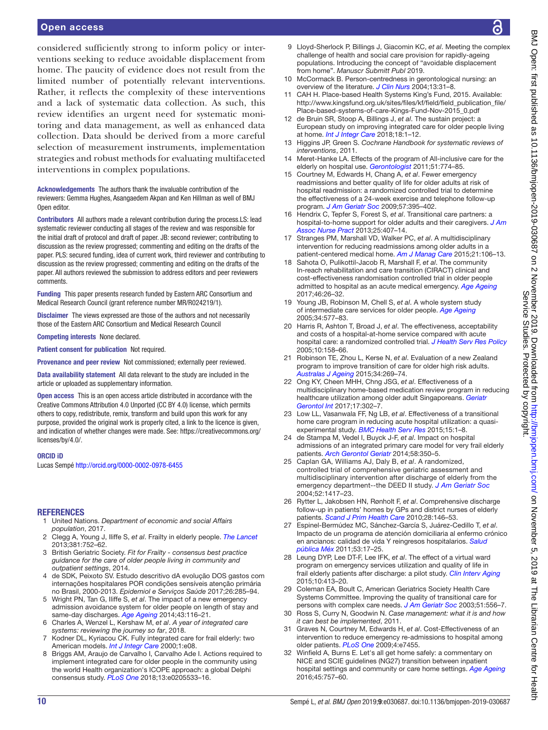#### Open access

considered sufficiently strong to inform policy or interventions seeking to reduce avoidable displacement from home. The paucity of evidence does not result from the limited number of potentially relevant interventions. Rather, it reflects the complexity of these interventions and a lack of systematic data collection. As such, this review identifies an urgent need for systematic monitoring and data management, as well as enhanced data collection. Data should be derived from a more careful selection of measurement instruments, implementation strategies and robust methods for evaluating multifaceted interventions in complex populations.

Acknowledgements The authors thank the invaluable contribution of the reviewers: Gemma Hughes, Asangaedem Akpan and Ken Hillman as well of BMJ Open editor.

Contributors All authors made a relevant contribution during the process.LS: lead systematic reviewer conducting all stages of the review and was responsible for the initial draft of protocol and draft of paper. JB: second reviewer; contributing to discussion as the review progressed; commenting and editing on the drafts of the paper. PLS: secured funding, idea of current work, third reviewer and contributing to discussion as the review progressed; commenting and editing on the drafts of the paper. All authors reviewed the submission to address editors and peer reviewers comments.

Funding This paper presents research funded by Eastern ARC Consortium and Medical Research Council (grant reference number MR/R024219/1).

Disclaimer The views expressed are those of the authors and not necessarily those of the Eastern ARC Consortium and Medical Research Council

Competing interests None declared.

Patient consent for publication Not required.

Provenance and peer review Not commissioned; externally peer reviewed.

Data availability statement All data relevant to the study are included in the article or uploaded as supplementary information.

Open access This is an open access article distributed in accordance with the Creative Commons Attribution 4.0 Unported (CC BY 4.0) license, which permits others to copy, redistribute, remix, transform and build upon this work for any purpose, provided the original work is properly cited, a link to the licence is given, and indication of whether changes were made. See: [https://creativecommons.org/](https://creativecommons.org/licenses/by/4.0/) [licenses/by/4.0/.](https://creativecommons.org/licenses/by/4.0/)

#### ORCID iD

Lucas Sempé<http://orcid.org/0000-0002-0978-6455>

#### **REFERENCES**

- 1 United Nations. *Department of economic and social Affairs population*, 2017.
- 2 Clegg A, Young J, Iliffe S, *et al*. Frailty in elderly people. *[The Lancet](http://dx.doi.org/10.1016/S0140-6736(12)62167-9)* 2013;381:752–62.
- 3 British Geriatric Society. *Fit for Frailty consensus best practice guidance for the care of older people living in community and outpatient settings*, 2014.
- 4 de SDK, Peixoto SV. Estudo descritivo dA evolução DOS gastos com internações hospitalares POR condições sensíveis atenção primária no Brasil, 2000-2013. *Epidemiol e Serviços Saúde* 2017;26:285–94.
- 5 Wright PN, Tan G, Iliffe S, *et al*. The impact of a new emergency admission avoidance system for older people on length of stay and same-day discharges. *[Age Ageing](http://dx.doi.org/10.1093/ageing/aft086)* 2014;43:116–21.
- 6 Charles A, Wenzel L, Kershaw M, *et al*. *A year of integrated care systems: reviewing the journey so far*, 2018.
- 7 Kodner DL, Kyriacou CK. Fully integrated care for frail elderly: two American models. *[Int J Integr Care](http://dx.doi.org/10.5334/ijic.11)* 2000;1:e08.
- 8 Briggs AM, Araujo de Carvalho I, Carvalho Ade I. Actions required to implement integrated care for older people in the community using the world Health organization's ICOPE approach: a global Delphi consensus study. *[PLoS One](http://dx.doi.org/10.1371/journal.pone.0205533)* 2018;13:e0205533–16.
- 9 Lloyd-Sherlock P, Billings J, Giacomin KC, *et al*. Meeting the complex challenge of health and social care provision for rapidly-ageing populations. Introducing the concept of "avoidable displacement from home". *Manuscr Submitt Publ* 2019.
- 10 McCormack B. Person-centredness in gerontological nursing: an overview of the literature. *[J Clin Nurs](http://dx.doi.org/10.1111/j.1365-2702.2004.00924.x)* 2004;13:31–8.
- CAH H. Place-based Health Systems King's Fund, 2015. Available: [http://www.kingsfund.org.uk/sites/files/kf/field/field\\_publication\\_file/](http://www.kingsfund.org.uk/sites/files/kf/field/field_publication_file/Place-based-systems-of-care-Kings-Fund-Nov-2015_0.pdf) [Place-based-systems-of-care-Kings-Fund-Nov-2015\\_0.pdf](http://www.kingsfund.org.uk/sites/files/kf/field/field_publication_file/Place-based-systems-of-care-Kings-Fund-Nov-2015_0.pdf)
- 12 de Bruin SR, Stoop A, Billings J, *et al*. The sustain project: a European study on improving integrated care for older people living at home. *[Int J Integr Care](http://dx.doi.org/10.5334/ijic.3090)* 2018;18:1–12.
- 13 Higgins JP, Green S. *Cochrane Handbook for systematic reviews of interventions*, 2011.
- 14 Meret-Hanke LA. Effects of the program of All-inclusive care for the elderly on hospital use. *[Gerontologist](http://dx.doi.org/10.1093/geront/gnr040)* 2011;51:774–85.
- 15 Courtney M, Edwards H, Chang A, *et al*. Fewer emergency readmissions and better quality of life for older adults at risk of hospital readmission: a randomized controlled trial to determine the effectiveness of a 24-week exercise and telephone follow-up program. *[J Am Geriatr Soc](http://dx.doi.org/10.1111/j.1532-5415.2009.02138.x)* 2009;57:395–402.
- 16 Hendrix C, Tepfer S, Forest S, *et al*. Transitional care partners: a hospital-to-home support for older adults and their caregivers. *[J Am](http://dx.doi.org/10.1111/j.1745-7599.2012.00803.x)  [Assoc Nurse Pract](http://dx.doi.org/10.1111/j.1745-7599.2012.00803.x)* 2013;25:407–14.
- 17 Stranges PM, Marshall VD, Walker PC, *et al*. A multidisciplinary intervention for reducing readmissions among older adults in a patient-centered medical home. *[Am J Manag Care](http://www.ncbi.nlm.nih.gov/pubmed/25880360)* 2015;21:106–13.
- 18 Sahota O, Pulikottil-Jacob R, Marshall F, *et al*. The community In-reach rehabilitation and care transition (CIRACT) clinical and cost-effectiveness randomisation controlled trial in older people admitted to hospital as an acute medical emergency. *[Age Ageing](http://dx.doi.org/10.1093/ageing/afw149)* 2017;46:26–32.
- 19 Young JB, Robinson M, Chell S, *et al*. A whole system study of intermediate care services for older people. *[Age Ageing](http://dx.doi.org/10.1093/ageing/afi179)* 2005;34:577–83.
- 20 Harris R, Ashton T, Broad J, *et al*. The effectiveness, acceptability and costs of a hospital-at-home service compared with acute hospital care: a randomized controlled trial. *[J Health Serv Res Policy](http://dx.doi.org/10.1258/1355819054338988)* 2005;10:158–66.
- 21 Robinson TE, Zhou L, Kerse N, *et al*. Evaluation of a new Zealand program to improve transition of care for older high risk adults. *[Australas J Ageing](http://dx.doi.org/10.1111/ajag.12232)* 2015;34:269–74.
- 22 Ong KY, Cheen MHH, Chng JSG, *et al*. Effectiveness of a multidisciplinary home-based medication review program in reducing healthcare utilization among older adult Singaporeans. *[Geriatr](http://dx.doi.org/10.1111/ggi.12706)  [Gerontol Int](http://dx.doi.org/10.1111/ggi.12706)* 2017;17:302–7.
- 23 Low LL, Vasanwala FF, Ng LB, *et al*. Effectiveness of a transitional home care program in reducing acute hospital utilization: a quasiexperimental study. *[BMC Health Serv Res](http://dx.doi.org/10.1186/s12913-015-0750-2)* 2015;15:1–8.
- 24 de Stampa M, Vedel I, Buyck J-F, *et al*. Impact on hospital admissions of an integrated primary care model for very frail elderly patients. *[Arch Gerontol Geriatr](http://dx.doi.org/10.1016/j.archger.2014.01.005)* 2014;58:350–5.
- 25 Caplan GA, Williams AJ, Daly B, *et al*. A randomized, controlled trial of comprehensive geriatric assessment and multidisciplinary intervention after discharge of elderly from the emergency department--the DEED II study. *[J Am Geriatr Soc](http://dx.doi.org/10.1111/j.1532-5415.2004.52401.x)* 2004;52:1417–23.
- 26 Rytter L, Jakobsen HN, Rønholt F, *et al*. Comprehensive discharge follow-up in patients' homes by GPs and district nurses of elderly patients. *[Scand J Prim Health Care](http://dx.doi.org/10.3109/02813431003764466)* 2010;28:146–53.
- 27 Espinel-Bermúdez MC, Sánchez-García S, Juárez-Cedillo T, *et al*. Impacto de un programa de atención domiciliaria al enfermo crónico en ancianos: calidad de vida Y reingresos hospitalarios. *[Salud](http://dx.doi.org/10.1590/S0036-36342011000100004)  [pública Méx](http://dx.doi.org/10.1590/S0036-36342011000100004)* 2011;53:17–25.
- 28 Leung DYP, Lee DT-F, Lee IFK, *et al*. The effect of a virtual ward program on emergency services utilization and quality of life in frail elderly patients after discharge: a pilot study. *[Clin Interv Aging](http://dx.doi.org/10.2147/CIA.S68937)* 2015;10:413–20.
- 29 Coleman EA, Boult C, American Geriatrics Society Health Care Systems Committee. Improving the quality of transitional care for persons with complex care needs. *[J Am Geriatr Soc](http://dx.doi.org/10.1046/j.1532-5415.2003.51186.x)* 2003;51:556–7.
- 30 Ross S, Curry N, Goodwin N. *Case management: what it is and how it can best be implemented*, 2011.
- 31 Graves N, Courtney M, Edwards H, *et al*. Cost-Effectiveness of an intervention to reduce emergency re-admissions to hospital among older patients. *[PLoS One](http://dx.doi.org/10.1371/journal.pone.0007455)* 2009;4:e7455.
- 32 Winfield A, Burns E. Let's all get home safely: a commentary on NICE and SCIE guidelines (NG27) transition between inpatient hospital settings and community or care home settings. *[Age Ageing](http://dx.doi.org/10.1093/ageing/afw151)* 2016;45:757–60.